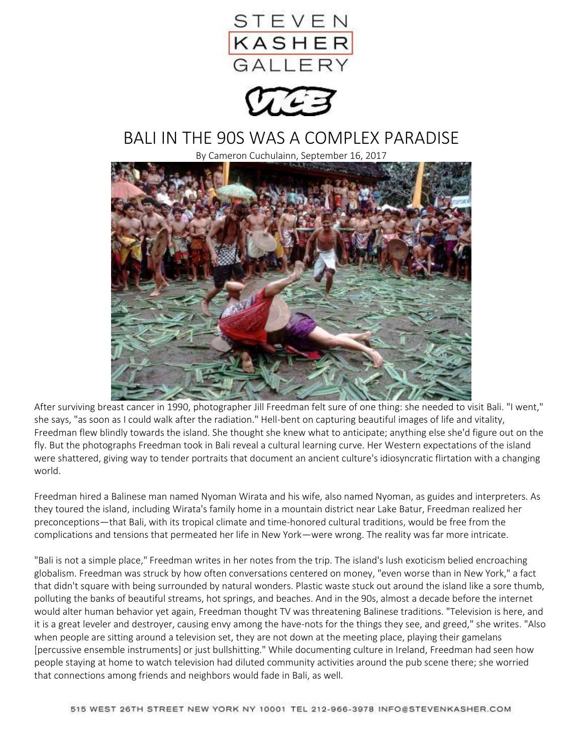

## BALI IN THE 90S WAS A COMPLEX PARADISE

By Cameron Cuchulainn, September 16, 2017



After surviving breast cancer in 1990, photographer Jill Freedman felt sure of one thing: she needed to visit Bali. "I went," she says, "as soon as I could walk after the radiation." Hell-bent on capturing beautiful images of life and vitality, Freedman flew blindly towards the island. She thought she knew what to anticipate; anything else she'd figure out on the fly. But the photographs Freedman took in Bali reveal a cultural learning curve. Her Western expectations of the island were shattered, giving way to tender portraits that document an ancient culture's idiosyncratic flirtation with a changing world.

Freedman hired a Balinese man named Nyoman Wirata and his wife, also named Nyoman, as guides and interpreters. As they toured the island, including Wirata's family home in a mountain district near Lake Batur, Freedman realized her preconceptions—that Bali, with its tropical climate and time-honored cultural traditions, would be free from the complications and tensions that permeated her life in New York—were wrong. The reality was far more intricate.

"Bali is not a simple place," Freedman writes in her notes from the trip. The island's lush exoticism belied encroaching globalism. Freedman was struck by how often conversations centered on money, "even worse than in New York," a fact that didn't square with being surrounded by natural wonders. Plastic waste stuck out around the island like a sore thumb, polluting the banks of beautiful streams, hot springs, and beaches. And in the 90s, almost a decade before the internet would alter human behavior yet again, Freedman thought TV was threatening Balinese traditions. "Television is here, and it is a great leveler and destroyer, causing envy among the have-nots for the things they see, and greed," she writes. "Also when people are sitting around a television set, they are not down at the meeting place, playing their gamelans [percussive ensemble instruments] or just bullshitting." While documenting culture in Ireland, Freedman had seen how people staying at home to watch television had diluted community activities around the pub scene there; she worried that connections among friends and neighbors would fade in Bali, as well.